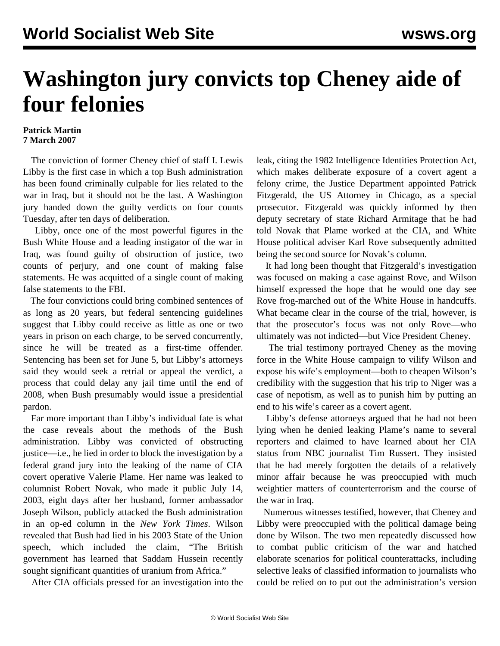## **Washington jury convicts top Cheney aide of four felonies**

## **Patrick Martin 7 March 2007**

 The conviction of former Cheney chief of staff I. Lewis Libby is the first case in which a top Bush administration has been found criminally culpable for lies related to the war in Iraq, but it should not be the last. A Washington jury handed down the guilty verdicts on four counts Tuesday, after ten days of deliberation.

 Libby, once one of the most powerful figures in the Bush White House and a leading instigator of the war in Iraq, was found guilty of obstruction of justice, two counts of perjury, and one count of making false statements. He was acquitted of a single count of making false statements to the FBI.

 The four convictions could bring combined sentences of as long as 20 years, but federal sentencing guidelines suggest that Libby could receive as little as one or two years in prison on each charge, to be served concurrently, since he will be treated as a first-time offender. Sentencing has been set for June 5, but Libby's attorneys said they would seek a retrial or appeal the verdict, a process that could delay any jail time until the end of 2008, when Bush presumably would issue a presidential pardon.

 Far more important than Libby's individual fate is what the case reveals about the methods of the Bush administration. Libby was convicted of obstructing justice—i.e., he lied in order to block the investigation by a federal grand jury into the leaking of the name of CIA covert operative Valerie Plame. Her name was leaked to columnist Robert Novak, who made it public July 14, 2003, eight days after her husband, former ambassador Joseph Wilson, publicly attacked the Bush administration in an op-ed column in the *New York Times*. Wilson revealed that Bush had lied in his 2003 State of the Union speech, which included the claim, "The British government has learned that Saddam Hussein recently sought significant quantities of uranium from Africa."

After CIA officials pressed for an investigation into the

leak, citing the 1982 Intelligence Identities Protection Act, which makes deliberate exposure of a covert agent a felony crime, the Justice Department appointed Patrick Fitzgerald, the US Attorney in Chicago, as a special prosecutor. Fitzgerald was quickly informed by then deputy secretary of state Richard Armitage that he had told Novak that Plame worked at the CIA, and White House political adviser Karl Rove subsequently admitted being the second source for Novak's column.

 It had long been thought that Fitzgerald's investigation was focused on making a case against Rove, and Wilson himself expressed the hope that he would one day see Rove frog-marched out of the White House in handcuffs. What became clear in the course of the trial, however, is that the prosecutor's focus was not only Rove—who ultimately was not indicted—but Vice President Cheney.

 The trial testimony portrayed Cheney as the moving force in the White House campaign to vilify Wilson and expose his wife's employment—both to cheapen Wilson's credibility with the suggestion that his trip to Niger was a case of nepotism, as well as to punish him by putting an end to his wife's career as a covert agent.

 Libby's defense attorneys argued that he had not been lying when he denied leaking Plame's name to several reporters and claimed to have learned about her CIA status from NBC journalist Tim Russert. They insisted that he had merely forgotten the details of a relatively minor affair because he was preoccupied with much weightier matters of counterterrorism and the course of the war in Iraq.

 Numerous witnesses testified, however, that Cheney and Libby were preoccupied with the political damage being done by Wilson. The two men repeatedly discussed how to combat public criticism of the war and hatched elaborate scenarios for political counterattacks, including selective leaks of classified information to journalists who could be relied on to put out the administration's version